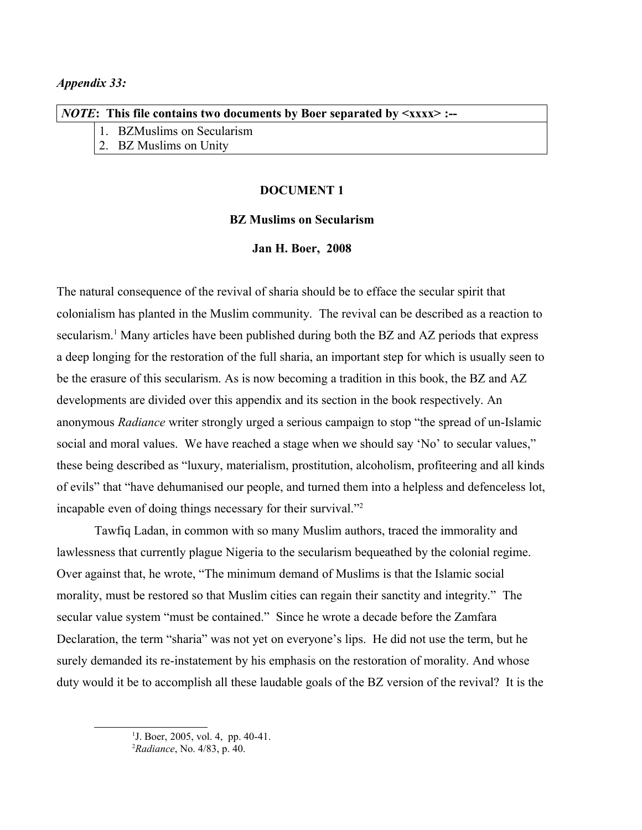| <i>NOTE</i> : This file contains two documents by Boer separated by $\langle xxx \rangle$ :-- |  |                            |
|-----------------------------------------------------------------------------------------------|--|----------------------------|
|                                                                                               |  | 1. BZMuslims on Secularism |
|                                                                                               |  | 2. BZ Muslims on Unity     |

### **DOCUMENT 1**

## **BZ Muslims on Secularism**

#### **Jan H. Boer, 2008**

The natural consequence of the revival of sharia should be to efface the secular spirit that colonialism has planted in the Muslim community. The revival can be described as a reaction to secularism.<sup>[1](#page-0-0)</sup> Many articles have been published during both the BZ and AZ periods that express a deep longing for the restoration of the full sharia, an important step for which is usually seen to be the erasure of this secularism. As is now becoming a tradition in this book, the BZ and AZ developments are divided over this appendix and its section in the book respectively. An anonymous *Radiance* writer strongly urged a serious campaign to stop "the spread of un-Islamic social and moral values. We have reached a stage when we should say 'No' to secular values," these being described as "luxury, materialism, prostitution, alcoholism, profiteering and all kinds of evils" that "have dehumanised our people, and turned them into a helpless and defenceless lot, incapable even of doing things necessary for their survival."[2](#page-0-1)

Tawfiq Ladan, in common with so many Muslim authors, traced the immorality and lawlessness that currently plague Nigeria to the secularism bequeathed by the colonial regime. Over against that, he wrote, "The minimum demand of Muslims is that the Islamic social morality, must be restored so that Muslim cities can regain their sanctity and integrity." The secular value system "must be contained." Since he wrote a decade before the Zamfara Declaration, the term "sharia" was not yet on everyone's lips. He did not use the term, but he surely demanded its re-instatement by his emphasis on the restoration of morality. And whose duty would it be to accomplish all these laudable goals of the BZ version of the revival? It is the

<span id="page-0-0"></span><sup>&</sup>lt;sup>1</sup>J. Boer, 2005, vol. 4, pp. 40-41.

<span id="page-0-1"></span><sup>2</sup>*Radiance*, No. 4/83, p. 40.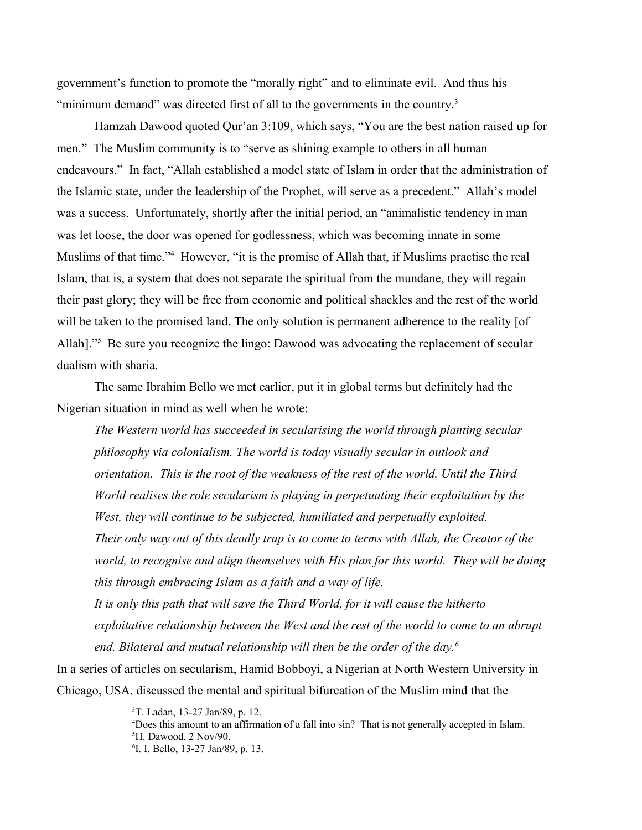government's function to promote the "morally right" and to eliminate evil. And thus his "minimum demand" was directed first of all to the governments in the country. $3$ 

Hamzah Dawood quoted Qur'an 3:109, which says, "You are the best nation raised up for men." The Muslim community is to "serve as shining example to others in all human endeavours." In fact, "Allah established a model state of Islam in order that the administration of the Islamic state, under the leadership of the Prophet, will serve as a precedent." Allah's model was a success. Unfortunately, shortly after the initial period, an "animalistic tendency in man was let loose, the door was opened for godlessness, which was becoming innate in some Muslims of that time."[4](#page-1-1) However, "it is the promise of Allah that, if Muslims practise the real Islam, that is, a system that does not separate the spiritual from the mundane, they will regain their past glory; they will be free from economic and political shackles and the rest of the world will be taken to the promised land. The only solution is permanent adherence to the reality [of Allah]."<sup>[5](#page-1-2)</sup> Be sure you recognize the lingo: Dawood was advocating the replacement of secular dualism with sharia.

The same Ibrahim Bello we met earlier, put it in global terms but definitely had the Nigerian situation in mind as well when he wrote:

*The Western world has succeeded in secularising the world through planting secular philosophy via colonialism. The world is today visually secular in outlook and orientation. This is the root of the weakness of the rest of the world. Until the Third World realises the role secularism is playing in perpetuating their exploitation by the West, they will continue to be subjected, humiliated and perpetually exploited. Their only way out of this deadly trap is to come to terms with Allah, the Creator of the world, to recognise and align themselves with His plan for this world. They will be doing this through embracing Islam as a faith and a way of life. It is only this path that will save the Third World, for it will cause the hitherto exploitative relationship between the West and the rest of the world to come to an abrupt end. Bilateral and mutual relationship will then be the order of the day.[6](#page-1-3)*

In a series of articles on secularism, Hamid Bobboyi, a Nigerian at North Western University in Chicago, USA, discussed the mental and spiritual bifurcation of the Muslim mind that the

<span id="page-1-0"></span><sup>3</sup>T. Ladan, 13-27 Jan/89, p. 12.

<span id="page-1-2"></span><span id="page-1-1"></span><sup>4</sup>Does this amount to an affirmation of a fall into sin? That is not generally accepted in Islam. <sup>5</sup>H. Dawood, 2 Nov/90.

<span id="page-1-3"></span><sup>6</sup> I. I. Bello, 13-27 Jan/89, p. 13.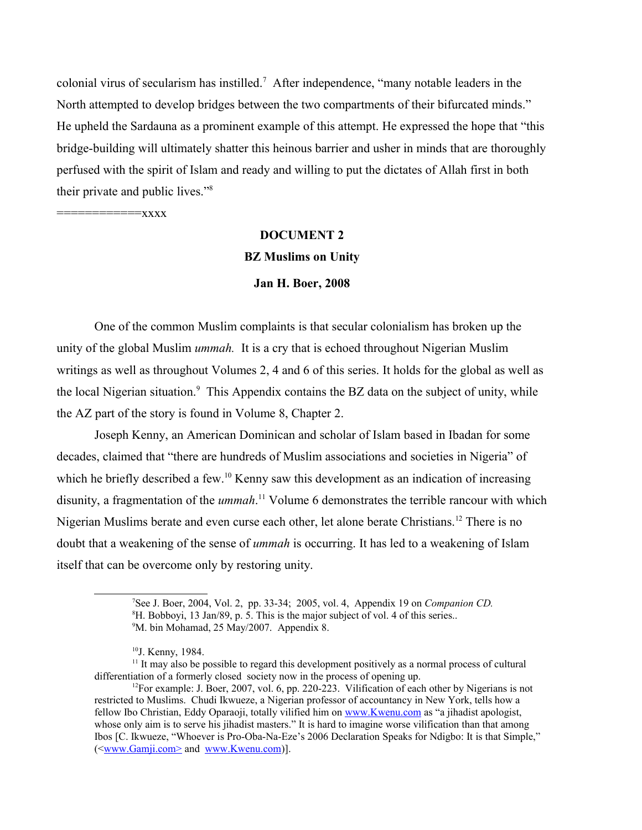colonial virus of secularism has instilled.<sup>[7](#page-2-0)</sup> After independence, "many notable leaders in the North attempted to develop bridges between the two compartments of their bifurcated minds." He upheld the Sardauna as a prominent example of this attempt. He expressed the hope that "this bridge-building will ultimately shatter this heinous barrier and usher in minds that are thoroughly perfused with the spirit of Islam and ready and willing to put the dictates of Allah first in both their private and public lives."[8](#page-2-1)

 $=$ xxxx

# **DOCUMENT 2 BZ Muslims on Unity**

#### **Jan H. Boer, 2008**

One of the common Muslim complaints is that secular colonialism has broken up the unity of the global Muslim *ummah.* It is a cry that is echoed throughout Nigerian Muslim writings as well as throughout Volumes 2, 4 and 6 of this series. It holds for the global as well as the local Nigerian situation.<sup>[9](#page-2-2)</sup> This Appendix contains the BZ data on the subject of unity, while the AZ part of the story is found in Volume 8, Chapter 2.

Joseph Kenny, an American Dominican and scholar of Islam based in Ibadan for some decades, claimed that "there are hundreds of Muslim associations and societies in Nigeria" of which he briefly described a few.<sup>[10](#page-2-3)</sup> Kenny saw this development as an indication of increasing disunity, a fragmentation of the *ummah*. [11](#page-2-4) Volume 6 demonstrates the terrible rancour with which Nigerian Muslims berate and even curse each other, let alone berate Christians.<sup>[12](#page-2-5)</sup> There is no doubt that a weakening of the sense of *ummah* is occurring. It has led to a weakening of Islam itself that can be overcome only by restoring unity.

<span id="page-2-2"></span><span id="page-2-1"></span><span id="page-2-0"></span><sup>7</sup>See J. Boer, 2004, Vol. 2, pp. 33-34; 2005, vol. 4, Appendix 19 on *Companion CD.* <sup>8</sup>H. Bobboyi, 13 Jan/89, p. 5. This is the major subject of vol. 4 of this series.. <sup>9</sup>M. bin Mohamad, 25 May/2007. Appendix 8.

<span id="page-2-5"></span><span id="page-2-4"></span><span id="page-2-3"></span><sup>&</sup>lt;sup>10</sup>J. Kenny, 1984.

 $11$  It may also be possible to regard this development positively as a normal process of cultural differentiation of a formerly closed society now in the process of opening up.

<sup>&</sup>lt;sup>12</sup>For example: J. Boer, 2007, vol. 6, pp. 220-223. Vilification of each other by Nigerians is not restricted to Muslims. Chudi Ikwueze, a Nigerian professor of accountancy in New York, tells how a fellow Ibo Christian, Eddy Oparaoji, totally vilified him on [www.Kwenu.com](http://www.Kwenu.com/) as "a jihadist apologist, whose only aim is to serve his jihadist masters." It is hard to imagine worse vilification than that among Ibos [C. Ikwueze, "Whoever is Pro-Oba-Na-Eze's 2006 Declaration Speaks for Ndigbo: It is that Simple," (<www.Gamji.com> and [www.Kwenu.com\)](http://www.Kwenu.com/)].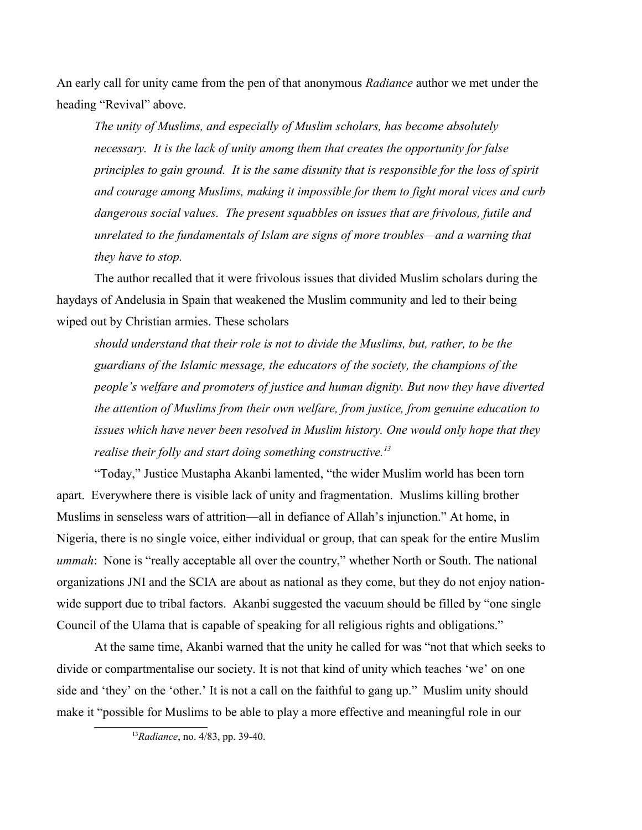An early call for unity came from the pen of that anonymous *Radiance* author we met under the heading "Revival" above.

*The unity of Muslims, and especially of Muslim scholars, has become absolutely necessary. It is the lack of unity among them that creates the opportunity for false principles to gain ground. It is the same disunity that is responsible for the loss of spirit and courage among Muslims, making it impossible for them to fight moral vices and curb dangerous social values. The present squabbles on issues that are frivolous, futile and unrelated to the fundamentals of Islam are signs of more troubles—and a warning that they have to stop.* 

The author recalled that it were frivolous issues that divided Muslim scholars during the haydays of Andelusia in Spain that weakened the Muslim community and led to their being wiped out by Christian armies. These scholars

*should understand that their role is not to divide the Muslims, but, rather, to be the guardians of the Islamic message, the educators of the society, the champions of the people's welfare and promoters of justice and human dignity. But now they have diverted the attention of Muslims from their own welfare, from justice, from genuine education to issues which have never been resolved in Muslim history. One would only hope that they realise their folly and start doing something constructive.[13](#page-3-0)*

"Today," Justice Mustapha Akanbi lamented, "the wider Muslim world has been torn apart. Everywhere there is visible lack of unity and fragmentation. Muslims killing brother Muslims in senseless wars of attrition—all in defiance of Allah's injunction." At home, in Nigeria, there is no single voice, either individual or group, that can speak for the entire Muslim *ummah*: None is "really acceptable all over the country," whether North or South. The national organizations JNI and the SCIA are about as national as they come, but they do not enjoy nationwide support due to tribal factors. Akanbi suggested the vacuum should be filled by "one single" Council of the Ulama that is capable of speaking for all religious rights and obligations."

At the same time, Akanbi warned that the unity he called for was "not that which seeks to divide or compartmentalise our society. It is not that kind of unity which teaches 'we' on one side and 'they' on the 'other.' It is not a call on the faithful to gang up." Muslim unity should make it "possible for Muslims to be able to play a more effective and meaningful role in our

<span id="page-3-0"></span><sup>13</sup>*Radiance*, no. 4/83, pp. 39-40.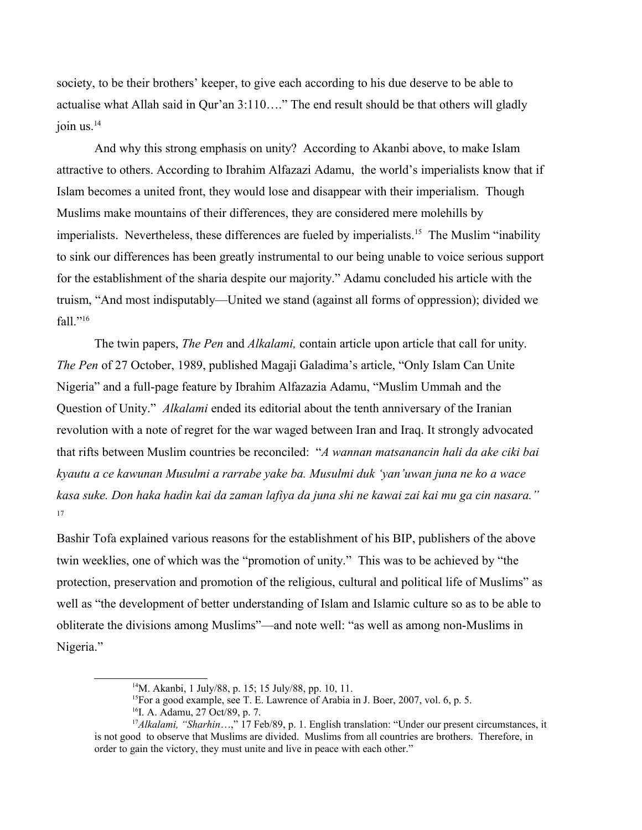society, to be their brothers' keeper, to give each according to his due deserve to be able to actualise what Allah said in Qur'an 3:110…." The end result should be that others will gladly join us. $^{14}$  $^{14}$  $^{14}$ 

And why this strong emphasis on unity? According to Akanbi above, to make Islam attractive to others. According to Ibrahim Alfazazi Adamu, the world's imperialists know that if Islam becomes a united front, they would lose and disappear with their imperialism. Though Muslims make mountains of their differences, they are considered mere molehills by imperialists. Nevertheless, these differences are fueled by imperialists.<sup>[15](#page-4-1)</sup> The Muslim "inability" to sink our differences has been greatly instrumental to our being unable to voice serious support for the establishment of the sharia despite our majority." Adamu concluded his article with the truism, "And most indisputably—United we stand (against all forms of oppression); divided we fall."[16](#page-4-2)

The twin papers, *The Pen* and *Alkalami,* contain article upon article that call for unity. *The Pen* of 27 October, 1989, published Magaji Galadima's article, "Only Islam Can Unite Nigeria" and a full-page feature by Ibrahim Alfazazia Adamu, "Muslim Ummah and the Question of Unity." *Alkalami* ended its editorial about the tenth anniversary of the Iranian revolution with a note of regret for the war waged between Iran and Iraq. It strongly advocated that rifts between Muslim countries be reconciled: "*A wannan matsanancin hali da ake ciki bai kyautu a ce kawunan Musulmi a rarrabe yake ba. Musulmi duk 'yan'uwan juna ne ko a wace kasa suke. Don haka hadin kai da zaman lafiya da juna shi ne kawai zai kai mu ga cin nasara."* [17](#page-4-3)

Bashir Tofa explained various reasons for the establishment of his BIP, publishers of the above twin weeklies, one of which was the "promotion of unity." This was to be achieved by "the protection, preservation and promotion of the religious, cultural and political life of Muslims" as well as "the development of better understanding of Islam and Islamic culture so as to be able to obliterate the divisions among Muslims"—and note well: "as well as among non-Muslims in Nigeria."

<span id="page-4-0"></span><sup>14</sup>M. Akanbi, 1 July/88, p. 15; 15 July/88, pp. 10, 11.

<span id="page-4-1"></span><sup>&</sup>lt;sup>15</sup>For a good example, see T. E. Lawrence of Arabia in J. Boer, 2007, vol. 6, p. 5.

<span id="page-4-3"></span><span id="page-4-2"></span><sup>&</sup>lt;sup>16</sup>I. A. Adamu, 27 Oct/89, p. 7.

<sup>&</sup>lt;sup>17</sup>Alkalami, "Sharhin...," 17 Feb/89, p. 1. English translation: "Under our present circumstances, it is not good to observe that Muslims are divided. Muslims from all countries are brothers. Therefore, in order to gain the victory, they must unite and live in peace with each other."